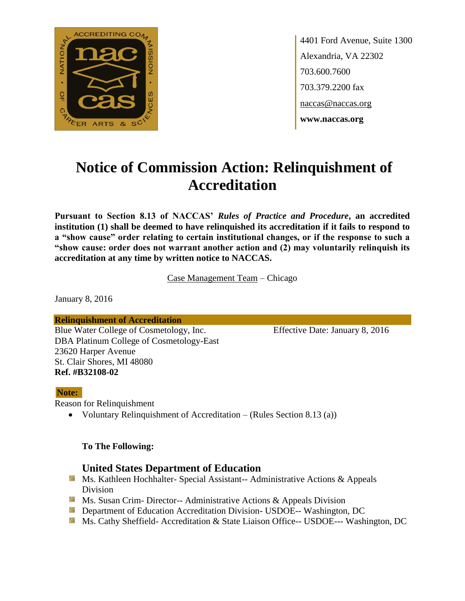

4401 Ford Avenue, Suite 1300 Alexandria, VA 22302 703.600.7600 703.379.2200 fax naccas@naccas.org **www.naccas.org**

# **Notice of Commission Action: Relinquishment of Accreditation**

**Pursuant to Section 8.13 of NACCAS'** *Rules of Practice and Procedure***, an accredited institution (1) shall be deemed to have relinquished its accreditation if it fails to respond to a "show cause" order relating to certain institutional changes, or if the response to such a "show cause: order does not warrant another action and (2) may voluntarily relinquish its accreditation at any time by written notice to NACCAS.**

Case Management Team – Chicago

January 8, 2016

**Relinquishment of Accreditation**

Blue Water College of Cosmetology, Inc. Effective Date: January 8, 2016 DBA Platinum College of Cosmetology-East 23620 Harper Avenue St. Clair Shores, MI 48080 **Ref. #B32108-02**

#### **Note:**

Reason for Relinquishment

• Voluntary Relinquishment of Accreditation – (Rules Section 8.13 (a))

### **To The Following:**

### **United States Department of Education**

- **Ms. Kathleen Hochhalter- Special Assistant-- Administrative Actions & Appeals** Division
- **Ms. Susan Crim- Director-- Administrative Actions & Appeals Division**
- **Department of Education Accreditation Division- USDOE-- Washington, DC**
- Ms. Cathy Sheffield- Accreditation & State Liaison Office-- USDOE--- Washington, DC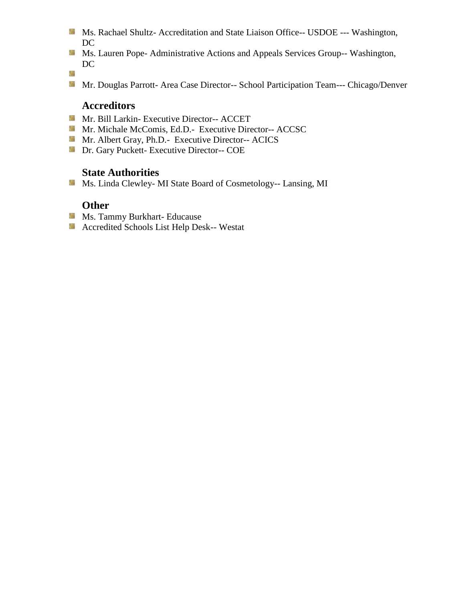- **Ms. Rachael Shultz- Accreditation and State Liaison Office-- USDOE --- Washington,** DC
- Ms. Lauren Pope- Administrative Actions and Appeals Services Group-- Washington, DC
- 鬣
- Mr. Douglas Parrott- Area Case Director-- School Participation Team--- Chicago/Denver

### **Accreditors**

- **Mr. Bill Larkin- Executive Director-- ACCET**
- **Mr. Michale McComis, Ed.D.- Executive Director-- ACCSC**
- Mr. Albert Gray, Ph.D.- Executive Director-- ACICS
- **Dr. Gary Puckett- Executive Director-- COE**

## **State Authorities**

Ms. Linda Clewley- MI State Board of Cosmetology-- Lansing, MI

### **Other**

- **Ms. Tammy Burkhart- Educause**
- Accredited Schools List Help Desk-- Westat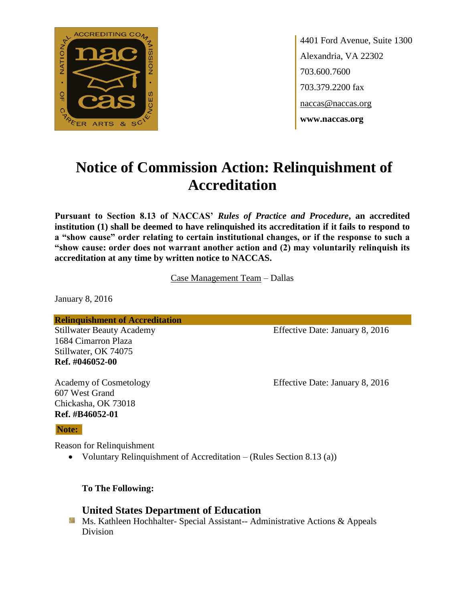

4401 Ford Avenue, Suite 1300 Alexandria, VA 22302 703.600.7600 703.379.2200 fax naccas@naccas.org **www.naccas.org**

# **Notice of Commission Action: Relinquishment of Accreditation**

**Pursuant to Section 8.13 of NACCAS'** *Rules of Practice and Procedure***, an accredited institution (1) shall be deemed to have relinquished its accreditation if it fails to respond to a "show cause" order relating to certain institutional changes, or if the response to such a "show cause: order does not warrant another action and (2) may voluntarily relinquish its accreditation at any time by written notice to NACCAS.**

Case Management Team – Dallas

January 8, 2016

**Relinquishment of Accreditation**

1684 Cimarron Plaza Stillwater, OK 74075 **Ref. #046052-00**

607 West Grand Chickasha, OK 73018 **Ref. #B46052-01**

### **Note:**

Reason for Relinquishment

Voluntary Relinquishment of Accreditation – (Rules Section 8.13 (a))

**To The Following:**

## **United States Department of Education**

**Ms. Kathleen Hochhalter- Special Assistant-- Administrative Actions & Appeals** Division

Stillwater Beauty Academy **Effective Date: January 8, 2016** 

Academy of Cosmetology Effective Date: January 8, 2016